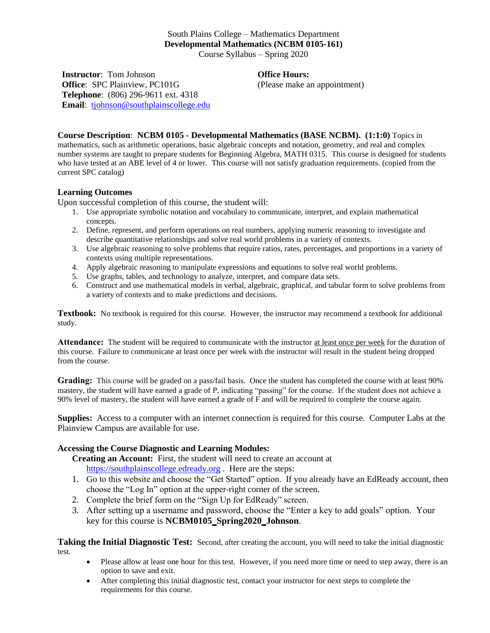## South Plains College – Mathematics Department **Developmental Mathematics (NCBM 0105-161)** Course Syllabus – Spring 2020

**Instructor**: Tom Johnson **Office**: SPC Plainview, PC101G **Telephone**: (806) 296-9611 ext. 4318 **Email**: [tjohnson@southplainscollege.edu](mailto:tjohnson@southplainscollege.edu) **Office Hours:**

(Please make an appointment)

**Course Description**: **NCBM 0105 - Developmental Mathematics (BASE NCBM). (1:1:0)** Topics in mathematics, such as arithmetic operations, basic algebraic concepts and notation, geometry, and real and complex number systems are taught to prepare students for Beginning Algebra, MATH 0315. This course is designed for students who have tested at an ABE level of 4 or lower. This course will not satisfy graduation requirements. (copied from the current SPC catalog)

## **Learning Outcomes**

Upon successful completion of this course, the student will:

- 1. Use appropriate symbolic notation and vocabulary to communicate, interpret, and explain mathematical concepts.
- 2. Define, represent, and perform operations on real numbers, applying numeric reasoning to investigate and describe quantitative relationships and solve real world problems in a variety of contexts.
- 3. Use algebraic reasoning to solve problems that require ratios, rates, percentages, and proportions in a variety of contexts using multiple representations.
- 4. Apply algebraic reasoning to manipulate expressions and equations to solve real world problems.
- 5. Use graphs, tables, and technology to analyze, interpret, and compare data sets.
- 6. Construct and use mathematical models in verbal, algebraic, graphical, and tabular form to solve problems from a variety of contexts and to make predictions and decisions.

**Textbook:** No textbook is required for this course. However, the instructor may recommend a textbook for additional study.

**Attendance:** The student will be required to communicate with the instructor at least once per week for the duration of this course. Failure to communicate at least once per week with the instructor will result in the student being dropped from the course.

**Grading:** This course will be graded on a pass/fail basis. Once the student has completed the course with at least 90% mastery, the student will have earned a grade of P, indicating "passing" for the course. If the student does not achieve a 90% level of mastery, the student will have earned a grade of F and will be required to complete the course again.

**Supplies:** Access to a computer with an internet connection is required for this course. Computer Labs at the Plainview Campus are available for use.

## **Accessing the Course Diagnostic and Learning Modules:**

**Creating an Account:** First, the student will need to create an account at [https://southplainscollege.edready.org](https://southplainscollege.edready.org/). Here are the steps:

- 1. Go to this website and choose the "Get Started" option. If you already have an EdReady account, then choose the "Log In" option at the upper-right corner of the screen.
- 2. Complete the brief form on the "Sign Up for EdReady" screen.
- 3. After setting up a username and password, choose the "Enter a key to add goals" option. Your key for this course is **NCBM0105\_Spring2020\_Johnson**.

**Taking the Initial Diagnostic Test:** Second, after creating the account, you will need to take the initial diagnostic test.

- Please allow at least one hour for this test. However, if you need more time or need to step away, there is an option to save and exit.
- After completing this initial diagnostic test, contact your instructor for next steps to complete the requirements for this course.